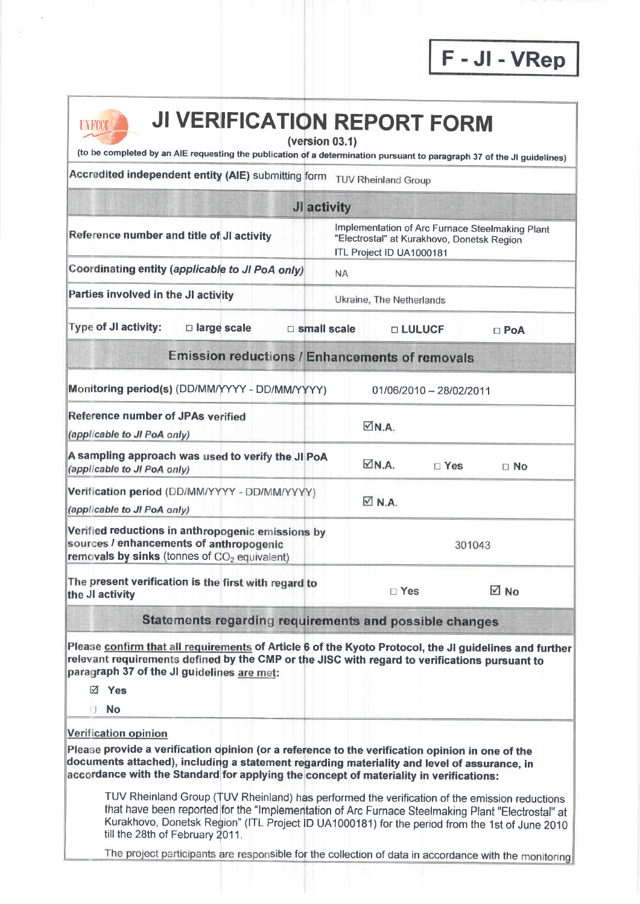F-Jl-VRep



## **NLEXET JI VERIFICATION REPORT FORM**

(version 03.1)

(to be completed by an AIE requesting the publication of a determination pursuant to paragraph 37 of the JI guidelines)

Accredited independent entity (AIE) submitting form TUV Rheinland Group

| JI activity                                                                                                               |               |                                                                                                                                                                                                           |  |
|---------------------------------------------------------------------------------------------------------------------------|---------------|-----------------------------------------------------------------------------------------------------------------------------------------------------------------------------------------------------------|--|
| Implementation of Arc Furnace Steelmaking Plant<br>"Electrostal" at Kurakhovo, Donetsk Region<br>ITL Project ID UA1000181 |               |                                                                                                                                                                                                           |  |
| <b>NA</b>                                                                                                                 |               |                                                                                                                                                                                                           |  |
|                                                                                                                           |               |                                                                                                                                                                                                           |  |
| <b>D</b> small scale                                                                                                      |               | $\Box$ PoA                                                                                                                                                                                                |  |
|                                                                                                                           |               |                                                                                                                                                                                                           |  |
| Monitoring period(s) (DD/MM/YYYY - DD/MM/YYYY)                                                                            |               |                                                                                                                                                                                                           |  |
| $\nabla N.A.$                                                                                                             |               |                                                                                                                                                                                                           |  |
| A sampling approach was used to verify the JI PoA<br>MM.A.                                                                | $\square$ Yes | $\Box$ No                                                                                                                                                                                                 |  |
| $\boxtimes$ N.A.                                                                                                          |               |                                                                                                                                                                                                           |  |
| Verified reductions in anthropogenic emissions by                                                                         | 301043        |                                                                                                                                                                                                           |  |
|                                                                                                                           |               | $\boxtimes$ No                                                                                                                                                                                            |  |
|                                                                                                                           |               |                                                                                                                                                                                                           |  |
|                                                                                                                           |               | Ukraine, The Netherlands<br><b>DEULUCE</b><br><b>Emission reductions / Enhancements of removals</b><br>01/06/2010 - 28/02/2011<br>$\square$ Yes<br>Statements regarding requirements and possible changes |  |

Please confirm that all requirements of Article 6 of the Kyoto Protocol, the JI guidelines and further relevant requirements defined by the CMP or the JISC with regard to verifications pursuant to paragraph 37 of the JI guidelines are met:

V Yes

**in** No

Verification opinion

Please provide a verification opinion (or a reference to the verification opinion in one of the documents attached), including a statement regarding materiality and level of assurance, in accordance with the Standard for applying the concept of materiality in verifications:

TUV Rheinland Group (TUV Rheinland) has performed the verification of the emission reductions that have been reported for the "lmplementation of Arc Furnace Steelmaking Plant "Electrostal" at Kurakhovo, Donetsk Region" (ITL Project ID UA1000181) for the period from the 1st of June 2010 till the 28th of February 2011.

The project participants are responsible for the collection of data in accordance with the monitoring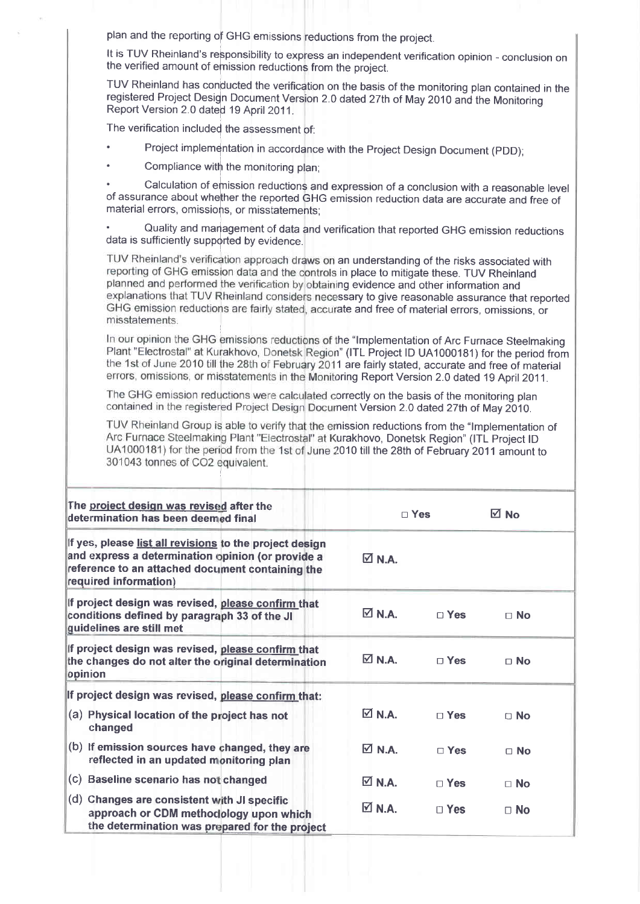plan and the reporting of GHG emissions reductions from the project.

It is TUV Rheinland's responsibility to express an independent verification opinion - conclusion on the verified amount of emission reductions from the project.

TUV Rheinland has conducted the verification on the basis of the monitoring plan contained in the registered Project Design Document Version 2.0 dated 27th of May 2010 and the Monitoring Report Version 2.0 dated 19 Aprit 2011.

The verification included the assessment of:

- Project implementation in accordance with the Project Design Document (PDD);
- Compliance with the monitoring plan;

Calculation of emission reductions and expression of a conclusion with a reasonable level of assurance about whefher the reported GHG emission reduction data are accurate and free of material errors, omissions, or misstatements;

Quality and management of data and verification that reported GHG emission reductions data is sufficiently supported by evidence.

TUV Rheinland's verification approach draws on an understanding of the risks associated with reporting of GHG emission data and the controls in place to mitigate these. TUV Rheinland planned and performed the verification by obtaining evidence and other information and<br>explanations that TUV Rheinland considers necessary to give reasonable assurance that reported GHG emission reductions are fairly stated, accurate and free of material errors, omissions, or misstatements.

In our opinion the GHG emissions reductions of the "Implementation of Arc Furnace Steelmaking Plant "Electrostal" at Kurakhovo, Donetsk Region" (ITL Project ID UA1000181) for the period from the 1st of June 2010 till the 28th of February 2011 are fairly stated, accurate and free of material errors, omissions, or misstatements in the Monitoring Report Version 2.0 dated 19 April 2011.

The GHG emission reductions were calculated correctly on the basis of the monitoring plan contained in the registered Project Design Document Version 2.0 dated 27th of May 2010.

TUV Rheinland Group is able to verify that the emission reductions from the "Implementation of Arc Furnace Steelmaking Plant "Electrostal" at Kurakhovo, Donetsk Region" (ITL Project ID UA1000181) for the period from the 1st of June 2010 till the 28th of February 2011 amount to 301043 tonnes of CO2 equivalent.

| The project design was revised after the<br>determination has been deemed final                                                                                                           | $\sqcap$ Yes                |            | ⊠ No      |  |
|-------------------------------------------------------------------------------------------------------------------------------------------------------------------------------------------|-----------------------------|------------|-----------|--|
| If yes, please list all revisions to the project design<br>and express a determination opinion (or provide a<br>reference to an attached document containing the<br>required information) | $\Box$ N.A.                 |            |           |  |
| If project design was revised, please confirm that<br>conditions defined by paragraph 33 of the JI<br>guidelines are still met                                                            | $\boxtimes$ N.A.            | $\Box$ Yes | $\Box$ No |  |
| If project design was revised, please confirm that<br>the changes do not alter the original determination<br>opinion                                                                      | $\nabla N.A.$               | $\Box$ Yes | $\Box$ No |  |
| If project design was revised, please confirm that:                                                                                                                                       |                             |            |           |  |
| (a) Physical location of the project has not<br>changed                                                                                                                                   | $\boxtimes$ N.A.            | $\Box$ Yes | $\Box$ No |  |
| (b) If emission sources have changed, they are<br>reflected in an updated monitoring plan                                                                                                 | $\nabla$ N.A.               | $\Box$ Yes | $\Box$ No |  |
| (c) Baseline scenario has not changed                                                                                                                                                     | $\overline{\triangle}$ N.A. | $\Box$ Yes | $\Box$ No |  |
| (d) Changes are consistent with JI specific<br>approach or CDM methodology upon which<br>the determination was prepared for the project                                                   | $\boxtimes$ N.A.            | $\Box$ Yes | $\Box$ No |  |